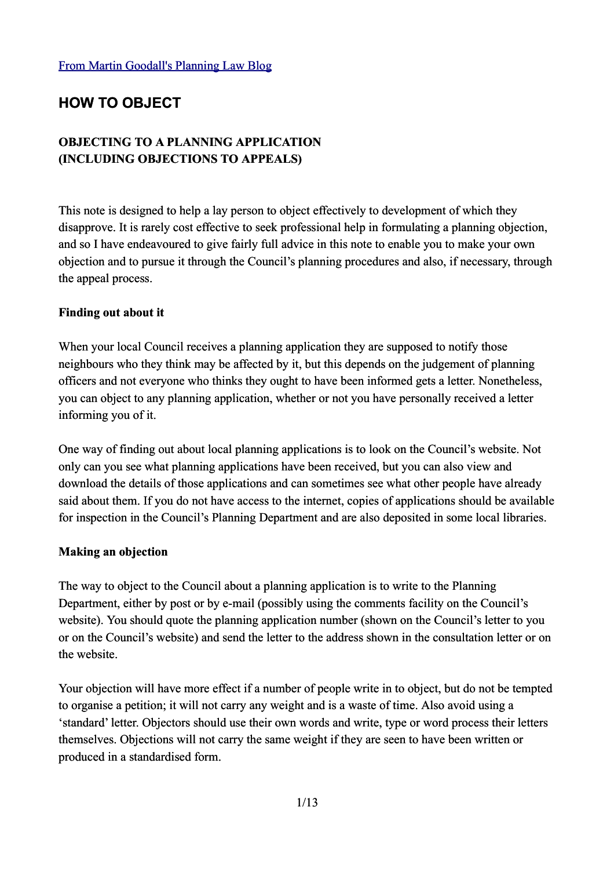# **HOW TO OBJECT**

## **OBJECTING TO A PLANNING APPLICATION (INCLUDING OBJECTIONS TO APPEALS)**

This note is designed to help a lay person to object effectively to development of which they disapprove. It is rarely cost effective to seek professional help in formulating a planning objection, and so I have endeavoured to give fairly full advice in this note to enable you to make your own objection and to pursue it through the Council's planning procedures and also, if necessary, through the appeal process.

#### **Finding out about it**

When your local Council receives a planning application they are supposed to notify those neighbours who they think may be affected by it, but this depends on the judgement of planning officers and not everyone who thinks they ought to have been informed gets a letter. Nonetheless, you can object to any planning application, whether or not you have personally received a letter informing you of it.

One way of finding out about local planning applications is to look on the Council's website. Not only can you see what planning applications have been received, but you can also view and download the details of those applications and can sometimes see what other people have already said about them. If you do not have access to the internet, copies of applications should be available for inspection in the Council's Planning Department and are also deposited in some local libraries.

#### **Making an objection**

The way to object to the Council about a planning application is to write to the Planning Department, either by post or by e-mail (possibly using the comments facility on the Council's website). You should quote the planning application number (shown on the Council's letter to you or on the Council's website) and send the letter to the address shown in the consultation letter or on the website.

Your objection will have more effect if a number of people write in to object, but do not be tempted to organise a petition; it will not carry any weight and is a waste of time. Also avoid using a 'standard' letter. Objectors should use their own words and write, type or word process their letters themselves. Objections will not carry the same weight if they are seen to have been written or produced in a standardised form.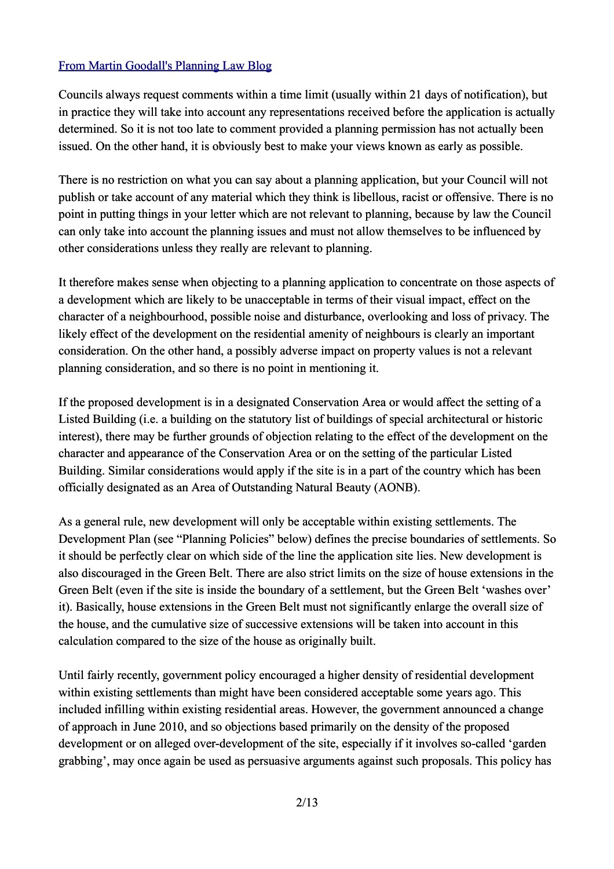Councils always request comments within a time limit (usually within 21 days of notification), but in practice they will take into account any representations received before the application is actually determined. So it is not too late to comment provided a planning permission has not actually been issued. On the other hand, it is obviously best to make your views known as early as possible.

There is no restriction on what you can say about a planning application, but your Council will not publish or take account of any material which they think is libellous, racist or offensive. There is no point in putting things in your letter which are not relevant to planning, because by law the Council can only take into account the planning issues and must not allow themselves to be influenced by other considerations unless they really are relevant to planning.

It therefore makes sense when objecting to a planning application to concentrate on those aspects of a development which are likely to be unacceptable in terms of their visual impact, effect on the character of a neighbourhood, possible noise and disturbance, overlooking and loss of privacy. The likely effect of the development on the residential amenity of neighbours is clearly an important consideration. On the other hand, a possibly adverse impact on property values is not a relevant planning consideration, and so there is no point in mentioning it.

If the proposed development is in a designated Conservation Area or would affect the setting of a Listed Building (i.e. a building on the statutory list of buildings of special architectural or historic interest), there may be further grounds of objection relating to the effect of the development on the character and appearance of the Conservation Area or on the setting of the particular Listed Building. Similar considerations would apply if the site is in a part of the country which has been officially designated as an Area of Outstanding Natural Beauty (AONB).

As a general rule, new development will only be acceptable within existing settlements. The Development Plan (see "Planning Policies" below) defines the precise boundaries of settlements. So it should be perfectly clear on which side of the line the application site lies. New development is also discouraged in the Green Belt. There are also strict limits on the size of house extensions in the Green Belt (even if the site is inside the boundary of a settlement, but the Green Belt 'washes over' it). Basically, house extensions in the Green Belt must not significantly enlarge the overall size of the house, and the cumulative size of successive extensions will be taken into account in this calculation compared to the size of the house as originally built.

Until fairly recently, government policy encouraged a higher density of residential development within existing settlements than might have been considered acceptable some years ago. This included infilling within existing residential areas. However, the government announced a change of approach in June 2010, and so objections based primarily on the density of the proposed development or on alleged over-development of the site, especially if it involves so-called 'garden grabbing', may once again be used as persuasive arguments against such proposals. This policy has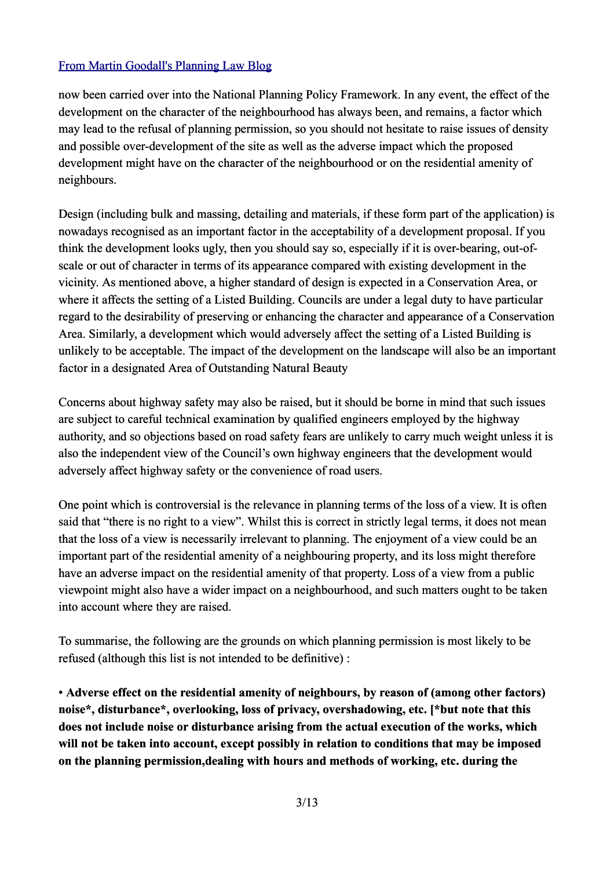now been carried over into the National Planning Policy Framework. In any event, the effect of the development on the character of the neighbourhood has always been, and remains, a factor which may lead to the refusal of planning permission, so you should not hesitate to raise issues of density and possible over-development of the site as well as the adverse impact which the proposed development might have on the character of the neighbourhood or on the residential amenity of neighbours.

Design (including bulk and massing, detailing and materials, if these form part of the application) is nowadays recognised as an important factor in the acceptability of a development proposal. If you think the development looks ugly, then you should say so, especially if it is over-bearing, out-ofscale or out of character in terms of its appearance compared with existing development in the vicinity. As mentioned above, a higher standard of design is expected in a Conservation Area, or where it affects the setting of a Listed Building. Councils are under a legal duty to have particular regard to the desirability of preserving or enhancing the character and appearance of a Conservation Area. Similarly, a development which would adversely affect the setting of a Listed Building is unlikely to be acceptable. The impact of the development on the landscape will also be an important factor in a designated Area of Outstanding Natural Beauty

Concerns about highway safety may also be raised, but it should be borne in mind that such issues are subject to careful technical examination by qualified engineers employed by the highway authority, and so objections based on road safety fears are unlikely to carry much weight unless it is also the independent view of the Council's own highway engineers that the development would adversely affect highway safety or the convenience of road users.

One point which is controversial is the relevance in planning terms of the loss of a view. It is often said that "there is no right to a view". Whilst this is correct in strictly legal terms, it does not mean that the loss of a view is necessarily irrelevant to planning. The enjoyment of a view could be an important part of the residential amenity of a neighbouring property, and its loss might therefore have an adverse impact on the residential amenity of that property. Loss of a view from a public viewpoint might also have a wider impact on a neighbourhood, and such matters ought to be taken into account where they are raised.

To summarise, the following are the grounds on which planning permission is most likely to be refused (although this list is not intended to be definitive) :

• **Adverse effect on the residential amenity of neighbours, by reason of (among other factors) noise\*, disturbance\*, overlooking, loss of privacy, overshadowing, etc. [\*but note that this does not include noise or disturbance arising from the actual execution of the works, which will not be taken into account, except possibly in relation to conditions that may be imposed on the planning permission,dealing with hours and methods of working, etc. during the**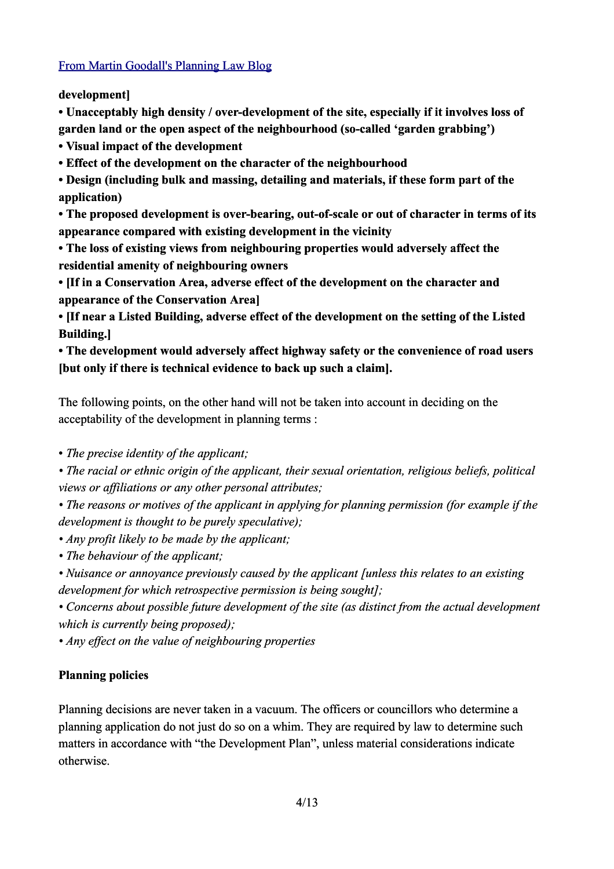**development]** 

**• Unacceptably high density / over-development of the site, especially if it involves loss of garden land or the open aspect of the neighbourhood (so-called 'garden grabbing')** 

**• Visual impact of the development**

**• Effect of the development on the character of the neighbourhood**

**• Design (including bulk and massing, detailing and materials, if these form part of the application)** 

**• The proposed development is over-bearing, out-of-scale or out of character in terms of its appearance compared with existing development in the vicinity**

**• The loss of existing views from neighbouring properties would adversely affect the residential amenity of neighbouring owners**

**• [If in a Conservation Area, adverse effect of the development on the character and appearance of the Conservation Area]** 

**• [If near a Listed Building, adverse effect of the development on the setting of the Listed Building.]** 

**• The development would adversely affect highway safety or the convenience of road users [but only if there is technical evidence to back up such a claim].** 

The following points, on the other hand will not be taken into account in deciding on the acceptability of the development in planning terms :

• *The precise identity of the applicant;* 

*• The racial or ethnic origin of the applicant, their sexual orientation, religious beliefs, political views or affiliations or any other personal attributes;* 

*• The reasons or motives of the applicant in applying for planning permission (for example if the development is thought to be purely speculative);* 

*• Any profit likely to be made by the applicant;* 

*• The behaviour of the applicant;* 

*• Nuisance or annoyance previously caused by the applicant [unless this relates to an existing development for which retrospective permission is being sought];* 

*• Concerns about possible future development of the site (as distinct from the actual development which is currently being proposed);* 

*• Any effect on the value of neighbouring properties*

# **Planning policies**

Planning decisions are never taken in a vacuum. The officers or councillors who determine a planning application do not just do so on a whim. They are required by law to determine such matters in accordance with "the Development Plan", unless material considerations indicate otherwise.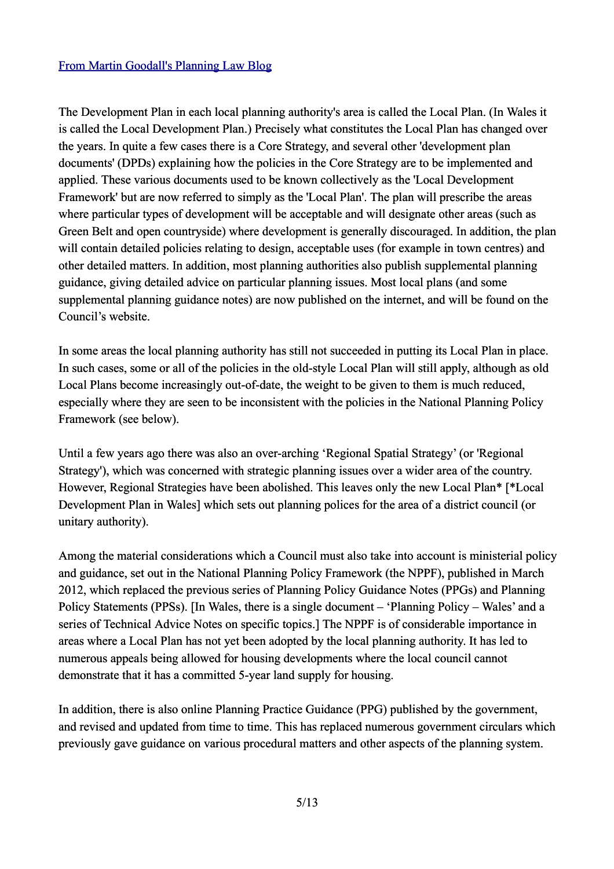The Development Plan in each local planning authority's area is called the Local Plan. (In Wales it is called the Local Development Plan.) Precisely what constitutes the Local Plan has changed over the years. In quite a few cases there is a Core Strategy, and several other 'development plan documents' (DPDs) explaining how the policies in the Core Strategy are to be implemented and applied. These various documents used to be known collectively as the 'Local Development Framework' but are now referred to simply as the 'Local Plan'. The plan will prescribe the areas where particular types of development will be acceptable and will designate other areas (such as Green Belt and open countryside) where development is generally discouraged. In addition, the plan will contain detailed policies relating to design, acceptable uses (for example in town centres) and other detailed matters. In addition, most planning authorities also publish supplemental planning guidance, giving detailed advice on particular planning issues. Most local plans (and some supplemental planning guidance notes) are now published on the internet, and will be found on the Council's website.

In some areas the local planning authority has still not succeeded in putting its Local Plan in place. In such cases, some or all of the policies in the old-style Local Plan will still apply, although as old Local Plans become increasingly out-of-date, the weight to be given to them is much reduced, especially where they are seen to be inconsistent with the policies in the National Planning Policy Framework (see below).

Until a few years ago there was also an over-arching 'Regional Spatial Strategy' (or 'Regional Strategy'), which was concerned with strategic planning issues over a wider area of the country. However, Regional Strategies have been abolished. This leaves only the new Local Plan\* [\*Local Development Plan in Wales] which sets out planning polices for the area of a district council (or unitary authority).

Among the material considerations which a Council must also take into account is ministerial policy and guidance, set out in the National Planning Policy Framework (the NPPF), published in March 2012, which replaced the previous series of Planning Policy Guidance Notes (PPGs) and Planning Policy Statements (PPSs). [In Wales, there is a single document – 'Planning Policy – Wales' and a series of Technical Advice Notes on specific topics.] The NPPF is of considerable importance in areas where a Local Plan has not yet been adopted by the local planning authority. It has led to numerous appeals being allowed for housing developments where the local council cannot demonstrate that it has a committed 5-year land supply for housing.

In addition, there is also online Planning Practice Guidance (PPG) published by the government, and revised and updated from time to time. This has replaced numerous government circulars which previously gave guidance on various procedural matters and other aspects of the planning system.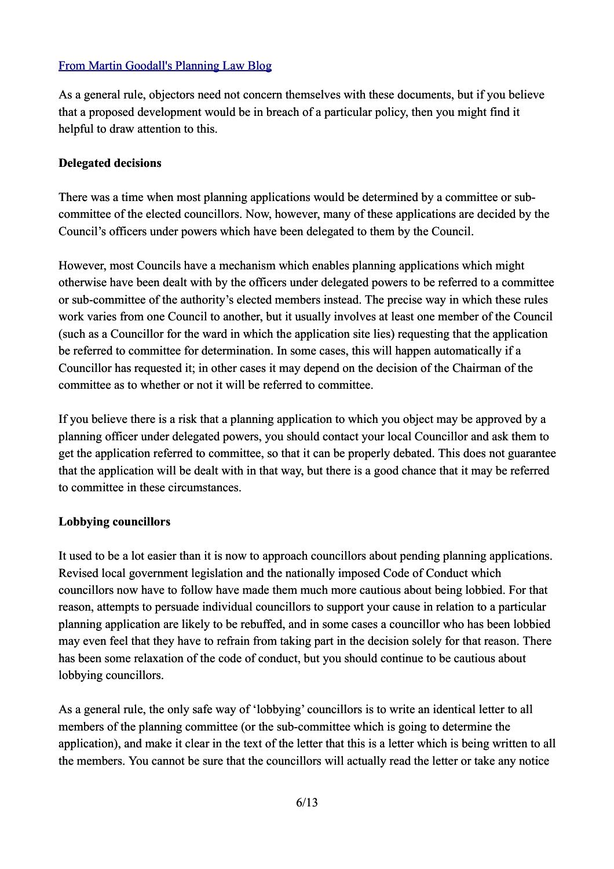As a general rule, objectors need not concern themselves with these documents, but if you believe that a proposed development would be in breach of a particular policy, then you might find it helpful to draw attention to this.

#### **Delegated decisions**

There was a time when most planning applications would be determined by a committee or subcommittee of the elected councillors. Now, however, many of these applications are decided by the Council's officers under powers which have been delegated to them by the Council.

However, most Councils have a mechanism which enables planning applications which might otherwise have been dealt with by the officers under delegated powers to be referred to a committee or sub-committee of the authority's elected members instead. The precise way in which these rules work varies from one Council to another, but it usually involves at least one member of the Council (such as a Councillor for the ward in which the application site lies) requesting that the application be referred to committee for determination. In some cases, this will happen automatically if a Councillor has requested it; in other cases it may depend on the decision of the Chairman of the committee as to whether or not it will be referred to committee.

If you believe there is a risk that a planning application to which you object may be approved by a planning officer under delegated powers, you should contact your local Councillor and ask them to get the application referred to committee, so that it can be properly debated. This does not guarantee that the application will be dealt with in that way, but there is a good chance that it may be referred to committee in these circumstances.

#### **Lobbying councillors**

It used to be a lot easier than it is now to approach councillors about pending planning applications. Revised local government legislation and the nationally imposed Code of Conduct which councillors now have to follow have made them much more cautious about being lobbied. For that reason, attempts to persuade individual councillors to support your cause in relation to a particular planning application are likely to be rebuffed, and in some cases a councillor who has been lobbied may even feel that they have to refrain from taking part in the decision solely for that reason. There has been some relaxation of the code of conduct, but you should continue to be cautious about lobbying councillors.

As a general rule, the only safe way of 'lobbying' councillors is to write an identical letter to all members of the planning committee (or the sub-committee which is going to determine the application), and make it clear in the text of the letter that this is a letter which is being written to all the members. You cannot be sure that the councillors will actually read the letter or take any notice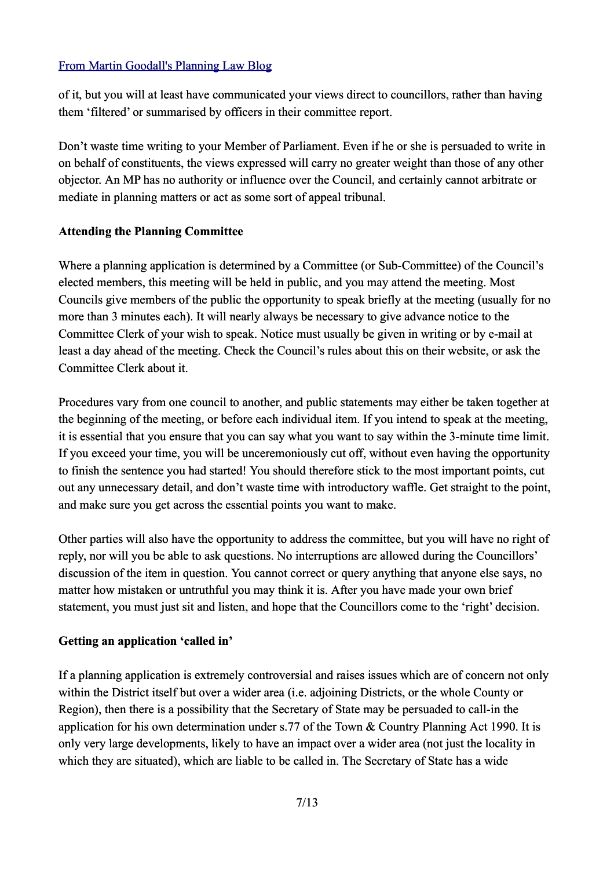of it, but you will at least have communicated your views direct to councillors, rather than having them 'filtered' or summarised by officers in their committee report.

Don't waste time writing to your Member of Parliament. Even if he or she is persuaded to write in on behalf of constituents, the views expressed will carry no greater weight than those of any other objector. An MP has no authority or influence over the Council, and certainly cannot arbitrate or mediate in planning matters or act as some sort of appeal tribunal.

#### **Attending the Planning Committee**

Where a planning application is determined by a Committee (or Sub-Committee) of the Council's elected members, this meeting will be held in public, and you may attend the meeting. Most Councils give members of the public the opportunity to speak briefly at the meeting (usually for no more than 3 minutes each). It will nearly always be necessary to give advance notice to the Committee Clerk of your wish to speak. Notice must usually be given in writing or by e-mail at least a day ahead of the meeting. Check the Council's rules about this on their website, or ask the Committee Clerk about it.

Procedures vary from one council to another, and public statements may either be taken together at the beginning of the meeting, or before each individual item. If you intend to speak at the meeting, it is essential that you ensure that you can say what you want to say within the 3-minute time limit. If you exceed your time, you will be unceremoniously cut off, without even having the opportunity to finish the sentence you had started! You should therefore stick to the most important points, cut out any unnecessary detail, and don't waste time with introductory waffle. Get straight to the point, and make sure you get across the essential points you want to make.

Other parties will also have the opportunity to address the committee, but you will have no right of reply, nor will you be able to ask questions. No interruptions are allowed during the Councillors' discussion of the item in question. You cannot correct or query anything that anyone else says, no matter how mistaken or untruthful you may think it is. After you have made your own brief statement, you must just sit and listen, and hope that the Councillors come to the 'right' decision.

#### **Getting an application 'called in'**

If a planning application is extremely controversial and raises issues which are of concern not only within the District itself but over a wider area (i.e. adjoining Districts, or the whole County or Region), then there is a possibility that the Secretary of State may be persuaded to call-in the application for his own determination under s.77 of the Town & Country Planning Act 1990. It is only very large developments, likely to have an impact over a wider area (not just the locality in which they are situated), which are liable to be called in. The Secretary of State has a wide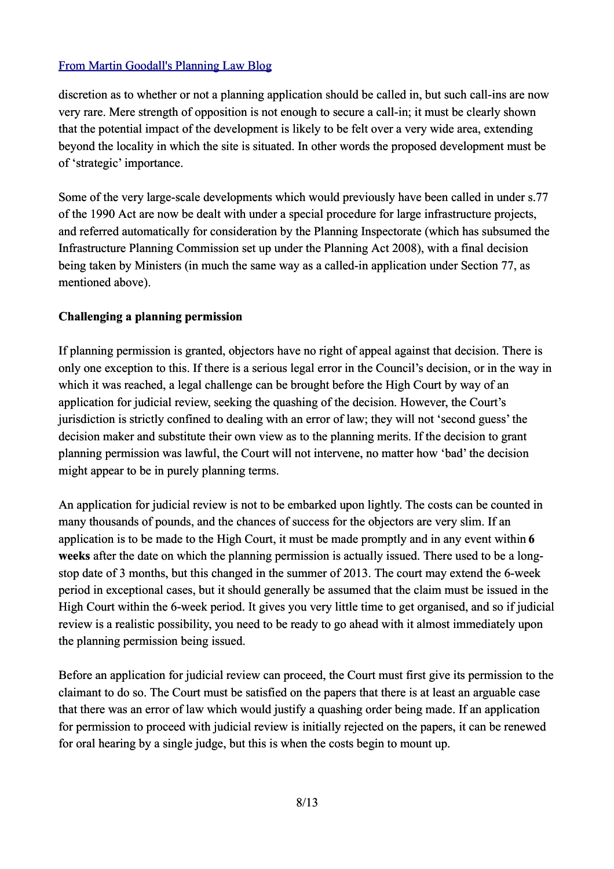discretion as to whether or not a planning application should be called in, but such call-ins are now very rare. Mere strength of opposition is not enough to secure a call-in; it must be clearly shown that the potential impact of the development is likely to be felt over a very wide area, extending beyond the locality in which the site is situated. In other words the proposed development must be of 'strategic' importance.

Some of the very large-scale developments which would previously have been called in under s.77 of the 1990 Act are now be dealt with under a special procedure for large infrastructure projects, and referred automatically for consideration by the Planning Inspectorate (which has subsumed the Infrastructure Planning Commission set up under the Planning Act 2008), with a final decision being taken by Ministers (in much the same way as a called-in application under Section 77, as mentioned above).

## **Challenging a planning permission**

If planning permission is granted, objectors have no right of appeal against that decision. There is only one exception to this. If there is a serious legal error in the Council's decision, or in the way in which it was reached, a legal challenge can be brought before the High Court by way of an application for judicial review, seeking the quashing of the decision. However, the Court's jurisdiction is strictly confined to dealing with an error of law; they will not 'second guess' the decision maker and substitute their own view as to the planning merits. If the decision to grant planning permission was lawful, the Court will not intervene, no matter how 'bad' the decision might appear to be in purely planning terms.

An application for judicial review is not to be embarked upon lightly. The costs can be counted in many thousands of pounds, and the chances of success for the objectors are very slim. If an application is to be made to the High Court, it must be made promptly and in any event within **6 weeks** after the date on which the planning permission is actually issued. There used to be a longstop date of 3 months, but this changed in the summer of 2013. The court may extend the 6-week period in exceptional cases, but it should generally be assumed that the claim must be issued in the High Court within the 6-week period. It gives you very little time to get organised, and so if judicial review is a realistic possibility, you need to be ready to go ahead with it almost immediately upon the planning permission being issued.

Before an application for judicial review can proceed, the Court must first give its permission to the claimant to do so. The Court must be satisfied on the papers that there is at least an arguable case that there was an error of law which would justify a quashing order being made. If an application for permission to proceed with judicial review is initially rejected on the papers, it can be renewed for oral hearing by a single judge, but this is when the costs begin to mount up.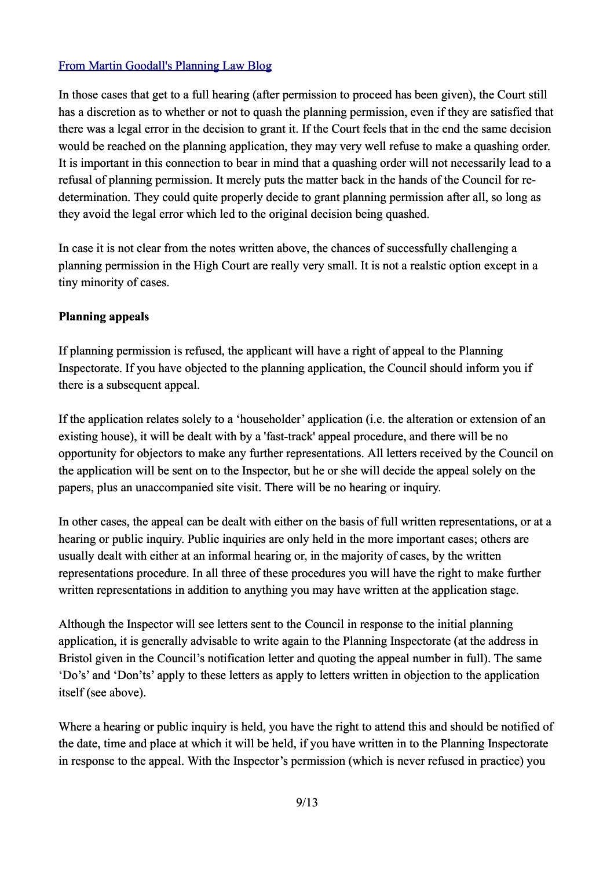In those cases that get to a full hearing (after permission to proceed has been given), the Court still has a discretion as to whether or not to quash the planning permission, even if they are satisfied that there was a legal error in the decision to grant it. If the Court feels that in the end the same decision would be reached on the planning application, they may very well refuse to make a quashing order. It is important in this connection to bear in mind that a quashing order will not necessarily lead to a refusal of planning permission. It merely puts the matter back in the hands of the Council for redetermination. They could quite properly decide to grant planning permission after all, so long as they avoid the legal error which led to the original decision being quashed.

In case it is not clear from the notes written above, the chances of successfully challenging a planning permission in the High Court are really very small. It is not a realstic option except in a tiny minority of cases.

#### **Planning appeals**

If planning permission is refused, the applicant will have a right of appeal to the Planning Inspectorate. If you have objected to the planning application, the Council should inform you if there is a subsequent appeal.

If the application relates solely to a 'householder' application (i.e. the alteration or extension of an existing house), it will be dealt with by a 'fast-track' appeal procedure, and there will be no opportunity for objectors to make any further representations. All letters received by the Council on the application will be sent on to the Inspector, but he or she will decide the appeal solely on the papers, plus an unaccompanied site visit. There will be no hearing or inquiry.

In other cases, the appeal can be dealt with either on the basis of full written representations, or at a hearing or public inquiry. Public inquiries are only held in the more important cases; others are usually dealt with either at an informal hearing or, in the majority of cases, by the written representations procedure. In all three of these procedures you will have the right to make further written representations in addition to anything you may have written at the application stage.

Although the Inspector will see letters sent to the Council in response to the initial planning application, it is generally advisable to write again to the Planning Inspectorate (at the address in Bristol given in the Council's notification letter and quoting the appeal number in full). The same 'Do's' and 'Don'ts' apply to these letters as apply to letters written in objection to the application itself (see above).

Where a hearing or public inquiry is held, you have the right to attend this and should be notified of the date, time and place at which it will be held, if you have written in to the Planning Inspectorate in response to the appeal. With the Inspector's permission (which is never refused in practice) you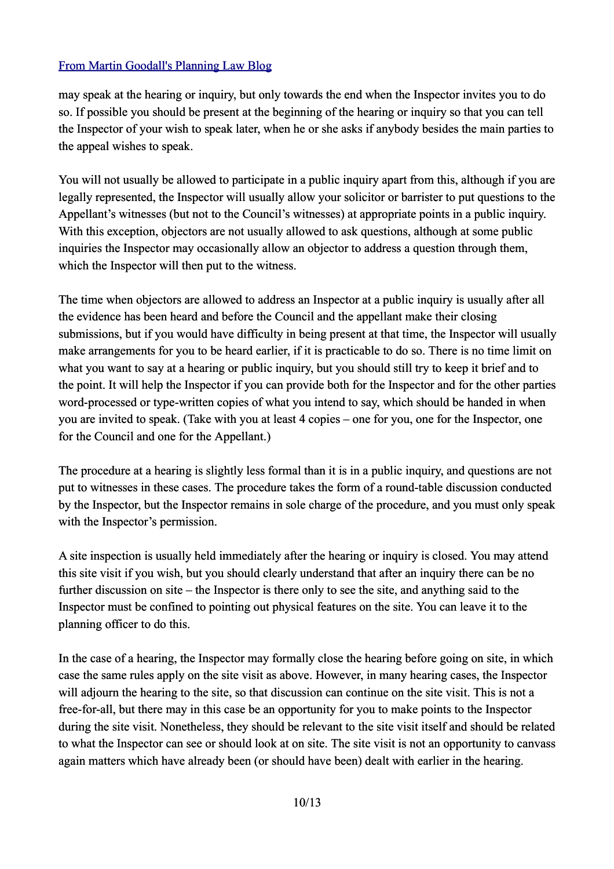may speak at the hearing or inquiry, but only towards the end when the Inspector invites you to do so. If possible you should be present at the beginning of the hearing or inquiry so that you can tell the Inspector of your wish to speak later, when he or she asks if anybody besides the main parties to the appeal wishes to speak.

You will not usually be allowed to participate in a public inquiry apart from this, although if you are legally represented, the Inspector will usually allow your solicitor or barrister to put questions to the Appellant's witnesses (but not to the Council's witnesses) at appropriate points in a public inquiry. With this exception, objectors are not usually allowed to ask questions, although at some public inquiries the Inspector may occasionally allow an objector to address a question through them. which the Inspector will then put to the witness.

The time when objectors are allowed to address an Inspector at a public inquiry is usually after all the evidence has been heard and before the Council and the appellant make their closing submissions, but if you would have difficulty in being present at that time, the Inspector will usually make arrangements for you to be heard earlier, if it is practicable to do so. There is no time limit on what you want to say at a hearing or public inquiry, but you should still try to keep it brief and to the point. It will help the Inspector if you can provide both for the Inspector and for the other parties word-processed or type-written copies of what you intend to say, which should be handed in when you are invited to speak. (Take with you at least 4 copies – one for you, one for the Inspector, one for the Council and one for the Appellant.)

The procedure at a hearing is slightly less formal than it is in a public inquiry, and questions are not put to witnesses in these cases. The procedure takes the form of a round-table discussion conducted by the Inspector, but the Inspector remains in sole charge of the procedure, and you must only speak with the Inspector's permission.

A site inspection is usually held immediately after the hearing or inquiry is closed. You may attend this site visit if you wish, but you should clearly understand that after an inquiry there can be no further discussion on site – the Inspector is there only to see the site, and anything said to the Inspector must be confined to pointing out physical features on the site. You can leave it to the planning officer to do this.

In the case of a hearing, the Inspector may formally close the hearing before going on site, in which case the same rules apply on the site visit as above. However, in many hearing cases, the Inspector will adjourn the hearing to the site, so that discussion can continue on the site visit. This is not a free-for-all, but there may in this case be an opportunity for you to make points to the Inspector during the site visit. Nonetheless, they should be relevant to the site visit itself and should be related to what the Inspector can see or should look at on site. The site visit is not an opportunity to canvass again matters which have already been (or should have been) dealt with earlier in the hearing.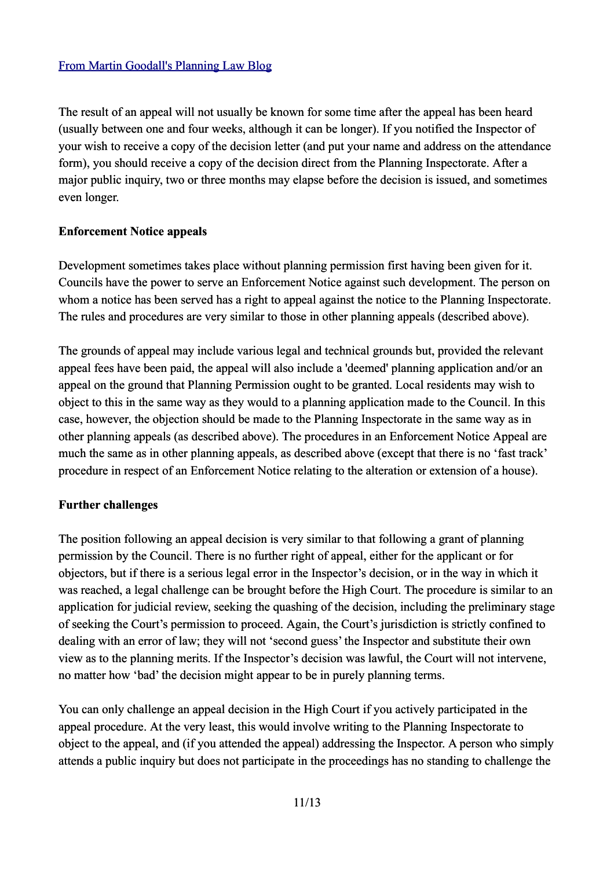The result of an appeal will not usually be known for some time after the appeal has been heard (usually between one and four weeks, although it can be longer). If you notified the Inspector of your wish to receive a copy of the decision letter (and put your name and address on the attendance form), you should receive a copy of the decision direct from the Planning Inspectorate. After a major public inquiry, two or three months may elapse before the decision is issued, and sometimes even longer.

#### **Enforcement Notice appeals**

Development sometimes takes place without planning permission first having been given for it. Councils have the power to serve an Enforcement Notice against such development. The person on whom a notice has been served has a right to appeal against the notice to the Planning Inspectorate. The rules and procedures are very similar to those in other planning appeals (described above).

The grounds of appeal may include various legal and technical grounds but, provided the relevant appeal fees have been paid, the appeal will also include a 'deemed' planning application and/or an appeal on the ground that Planning Permission ought to be granted. Local residents may wish to object to this in the same way as they would to a planning application made to the Council. In this case, however, the objection should be made to the Planning Inspectorate in the same way as in other planning appeals (as described above). The procedures in an Enforcement Notice Appeal are much the same as in other planning appeals, as described above (except that there is no 'fast track' procedure in respect of an Enforcement Notice relating to the alteration or extension of a house).

## **Further challenges**

The position following an appeal decision is very similar to that following a grant of planning permission by the Council. There is no further right of appeal, either for the applicant or for objectors, but if there is a serious legal error in the Inspector's decision, or in the way in which it was reached, a legal challenge can be brought before the High Court. The procedure is similar to an application for judicial review, seeking the quashing of the decision, including the preliminary stage of seeking the Court's permission to proceed. Again, the Court's jurisdiction is strictly confined to dealing with an error of law; they will not 'second guess' the Inspector and substitute their own view as to the planning merits. If the Inspector's decision was lawful, the Court will not intervene, no matter how 'bad' the decision might appear to be in purely planning terms.

You can only challenge an appeal decision in the High Court if you actively participated in the appeal procedure. At the very least, this would involve writing to the Planning Inspectorate to object to the appeal, and (if you attended the appeal) addressing the Inspector. A person who simply attends a public inquiry but does not participate in the proceedings has no standing to challenge the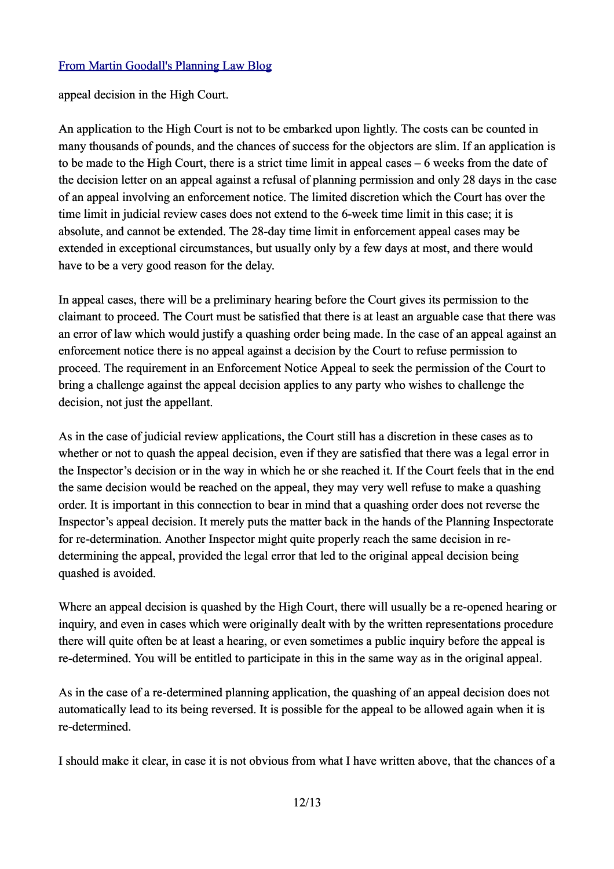appeal decision in the High Court.

An application to the High Court is not to be embarked upon lightly. The costs can be counted in many thousands of pounds, and the chances of success for the objectors are slim. If an application is to be made to the High Court, there is a strict time limit in appeal cases – 6 weeks from the date of the decision letter on an appeal against a refusal of planning permission and only 28 days in the case of an appeal involving an enforcement notice. The limited discretion which the Court has over the time limit in judicial review cases does not extend to the 6-week time limit in this case; it is absolute, and cannot be extended. The 28-day time limit in enforcement appeal cases may be extended in exceptional circumstances, but usually only by a few days at most, and there would have to be a very good reason for the delay.

In appeal cases, there will be a preliminary hearing before the Court gives its permission to the claimant to proceed. The Court must be satisfied that there is at least an arguable case that there was an error of law which would justify a quashing order being made. In the case of an appeal against an enforcement notice there is no appeal against a decision by the Court to refuse permission to proceed. The requirement in an Enforcement Notice Appeal to seek the permission of the Court to bring a challenge against the appeal decision applies to any party who wishes to challenge the decision, not just the appellant.

As in the case of judicial review applications, the Court still has a discretion in these cases as to whether or not to quash the appeal decision, even if they are satisfied that there was a legal error in the Inspector's decision or in the way in which he or she reached it. If the Court feels that in the end the same decision would be reached on the appeal, they may very well refuse to make a quashing order. It is important in this connection to bear in mind that a quashing order does not reverse the Inspector's appeal decision. It merely puts the matter back in the hands of the Planning Inspectorate for re-determination. Another Inspector might quite properly reach the same decision in redetermining the appeal, provided the legal error that led to the original appeal decision being quashed is avoided.

Where an appeal decision is quashed by the High Court, there will usually be a re-opened hearing or inquiry, and even in cases which were originally dealt with by the written representations procedure there will quite often be at least a hearing, or even sometimes a public inquiry before the appeal is re-determined. You will be entitled to participate in this in the same way as in the original appeal.

As in the case of a re-determined planning application, the quashing of an appeal decision does not automatically lead to its being reversed. It is possible for the appeal to be allowed again when it is re-determined.

I should make it clear, in case it is not obvious from what I have written above, that the chances of a